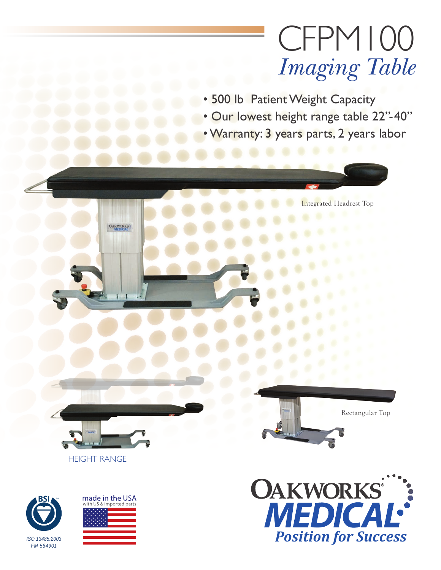# CFPM100 *Imaging Table*

Integrated Headrest Top

• 500 lb Patient Weight Capacity

- Our lowest height range table 22"-40"
- Warranty: 3 years parts, 2 years labor



OAKWORKS









Rectangular Top